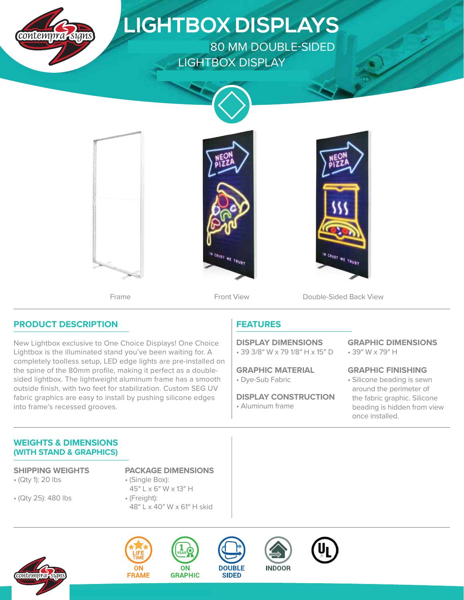

## **PRODUCT DESCRIPTION**

New Lightbox exclusive to One Choice Displays! One Choice Lightbox is the illuminated stand you've been waiting for. A completely toolless setup, LED edge lights are pre-installed on the spine of the 80mm profile, making it perfect as a doublesided lightbox. The lightweight aluminum frame has a smooth outside finish, with two feet for stabilization. Custom SEG UV fabric graphics are easy to install by pushing silicone edges into frame's recessed grooves.

## **FEATURES**

• 39 3/8″ W x 79 1/8″ H x 15″ D **DISPLAY DIMENSIONS**

• Dye-Sub Fabric **GRAPHIC MATERIAL**

• Aluminum frame **DISPLAY CONSTRUCTION** • 39″ W x 79″ H **GRAPHIC DIMENSIONS**

• Silicone beading is sewn around the perimeter of the fabric graphic. Silicone beading is hidden from view once installed. **GRAPHIC FINISHING**

## **WEIGHTS & DIMENSIONS (WITH STAND & GRAPHICS)**

- (Qty 1): 20 lbs
- (Qty 25): 480 lbs
- **SHIPPING WEIGHTS PACKAGE DIMENSIONS**
	- (Single Box): 45″ L x 6″ W x 13″ H
	- (Freight): 48″ L x 40″ W x 61″ H skid









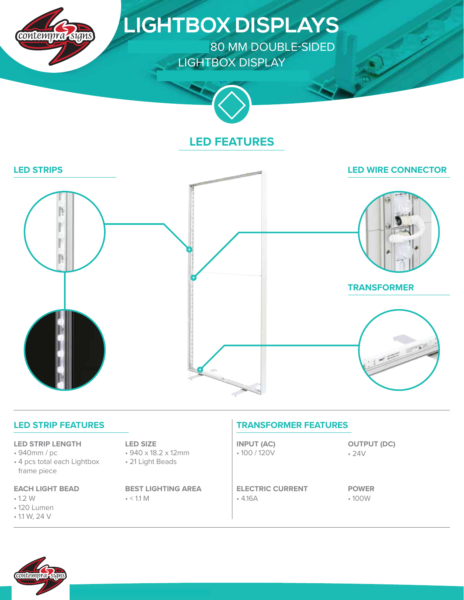

# **LIGHTBOX DISPLAYS**

80 MM DOUBLE-SIDED LIGHTBOX DISPLAY



## **LED FEATURES**



| <b>LED STRIP FEATURES</b> |  |  |  |  |
|---------------------------|--|--|--|--|
|---------------------------|--|--|--|--|

#### **LED STRIP LENGTH**

- 940mm / pc
- 4 pcs total each Lightbox frame piece

#### **EACH LIGHT BEAD**

- 1.2 W
- 120 Lumen
- 1.1 W, 24 V

#### **LED SIZE**

- 940 x 18.2 x 12mm
- 21 Light Beads

 $\cdot$  < 1.1 M **BEST LIGHTING AREA**

## **TRANSFORMER FEATURES**

• 100 / 120V **INPUT (AC)**

• 4.16A **ELECTRIC CURRENT** • 24V **OUTPUT (DC)**

• 100W **POWER**

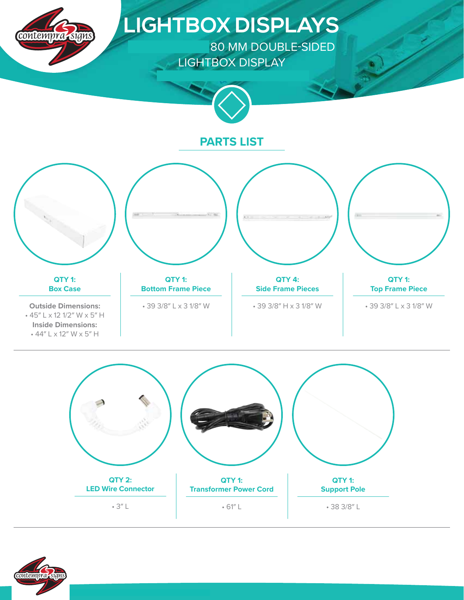